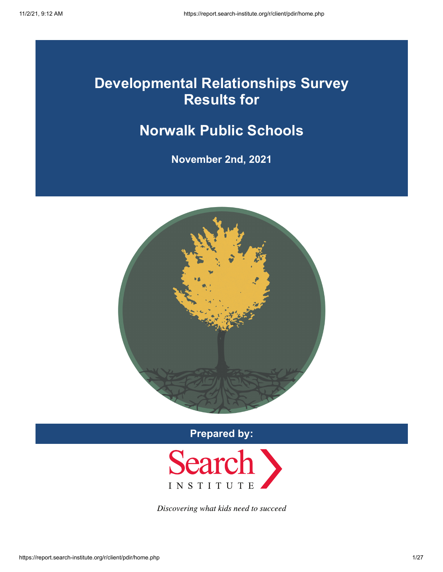## **Developmental Relationships Survey Results for**

## **Norwalk Public Schools**

**November 2nd, 2021**



**Prepared by:**



Discovering what kids need to succeed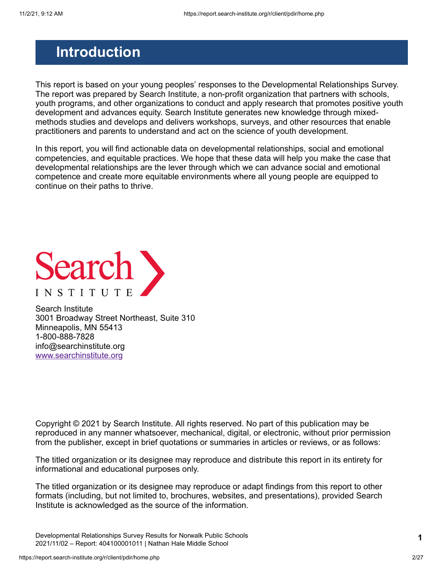### <span id="page-1-0"></span>**Introduction**

This report is based on your young peoples' responses to the Developmental Relationships Survey. The report was prepared by Search Institute, a non-profit organization that partners with schools, youth programs, and other organizations to conduct and apply research that promotes positive youth development and advances equity. Search Institute generates new knowledge through mixedmethods studies and develops and delivers workshops, surveys, and other resources that enable practitioners and parents to understand and act on the science of youth development.

In this report, you will find actionable data on developmental relationships, social and emotional competencies, and equitable practices. We hope that these data will help you make the case that developmental relationships are the lever through which we can advance social and emotional competence and create more equitable environments where all young people are equipped to continue on their paths to thrive.



Search Institute 3001 Broadway Street Northeast, Suite 310 Minneapolis, MN 55413 1-800-888-7828 info@searchinstitute.org [www.searchinstitute.org](https://www.search-institute.org/)

Copyright © 2021 by Search Institute. All rights reserved. No part of this publication may be reproduced in any manner whatsoever, mechanical, digital, or electronic, without prior permission from the publisher, except in brief quotations or summaries in articles or reviews, or as follows:

The titled organization or its designee may reproduce and distribute this report in its entirety for informational and educational purposes only.

The titled organization or its designee may reproduce or adapt findings from this report to other formats (including, but not limited to, brochures, websites, and presentations), provided Search Institute is acknowledged as the source of the information.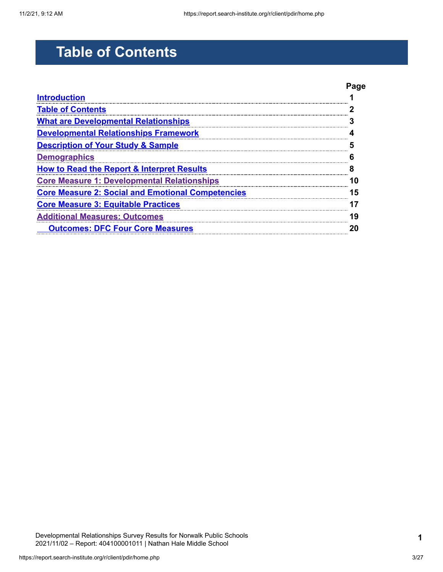# <span id="page-2-0"></span>**Table of Contents**

|                                                          | Paɑe |
|----------------------------------------------------------|------|
| <b>Introduction</b>                                      |      |
| <b>Table of Contents</b>                                 |      |
| <b>What are Developmental Relationships</b>              |      |
| <b>Developmental Relationships Framework</b>             |      |
| <b>Description of Your Study &amp; Sample</b>            |      |
| <b>Demographics</b>                                      |      |
| <b>How to Read the Report &amp; Interpret Results</b>    |      |
| <b>Core Measure 1: Developmental Relationships</b>       |      |
| <b>Core Measure 2: Social and Emotional Competencies</b> | 5    |
| <b>Core Measure 3: Equitable Practices</b>               |      |
| <b>Additional Measures: Outcomes</b>                     | 9    |
| <b>Outcomes: DFC Four Core Measures</b>                  |      |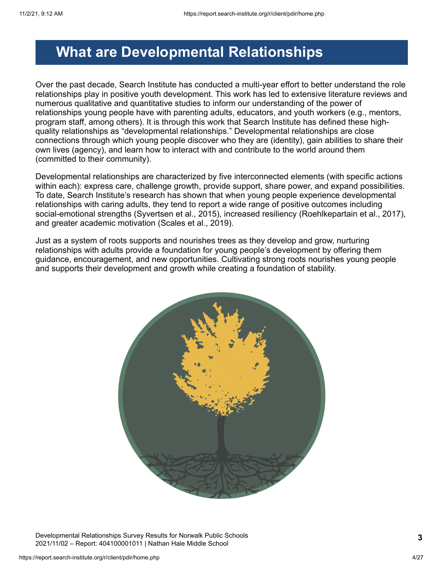### <span id="page-3-0"></span>**What are Developmental Relationships**

Over the past decade, Search Institute has conducted a multi-year effort to better understand the role relationships play in positive youth development. This work has led to extensive literature reviews and numerous qualitative and quantitative studies to inform our understanding of the power of relationships young people have with parenting adults, educators, and youth workers (e.g., mentors, program staff, among others). It is through this work that Search Institute has defined these highquality relationships as "developmental relationships." Developmental relationships are close connections through which young people discover who they are (identity), gain abilities to share their own lives (agency), and learn how to interact with and contribute to the world around them (committed to their community).

Developmental relationships are characterized by five interconnected elements (with specific actions within each): express care, challenge growth, provide support, share power, and expand possibilities. To date, Search Institute's research has shown that when young people experience developmental relationships with caring adults, they tend to report a wide range of positive outcomes including social-emotional strengths (Syvertsen et al., 2015), increased resiliency (Roehlkepartain et al., 2017), and greater academic motivation (Scales et al., 2019).

Just as a system of roots supports and nourishes trees as they develop and grow, nurturing relationships with adults provide a foundation for young people's development by offering them guidance, encouragement, and new opportunities. Cultivating strong roots nourishes young people and supports their development and growth while creating a foundation of stability.



Developmental Relationships Survey Results for Norwalk Public Schools 2021/11/02 – Report: 404100001011 | Nathan Hale Middle School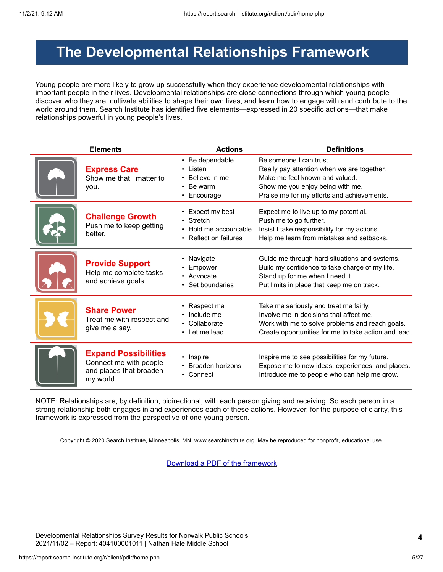## <span id="page-4-0"></span>**The Developmental Relationships Framework**

Young people are more likely to grow up successfully when they experience developmental relationships with important people in their lives. Developmental relationships are close connections through which young people discover who they are, cultivate abilities to shape their own lives, and learn how to engage with and contribute to the world around them. Search Institute has identified five elements—expressed in 20 specific actions—that make relationships powerful in young people's lives.

| <b>Elements</b>                                                                               | <b>Actions</b>                                                                  | <b>Definitions</b>                                                                                                                                                                           |  |  |  |  |
|-----------------------------------------------------------------------------------------------|---------------------------------------------------------------------------------|----------------------------------------------------------------------------------------------------------------------------------------------------------------------------------------------|--|--|--|--|
| <b>Express Care</b><br>Show me that I matter to<br>you.                                       | • Be dependable<br>Listen<br>Believe in me<br>Be warm<br>Encourage<br>$\bullet$ | Be someone I can trust.<br>Really pay attention when we are together.<br>Make me feel known and valued.<br>Show me you enjoy being with me.<br>Praise me for my efforts and achievements.    |  |  |  |  |
| <b>Challenge Growth</b><br>Push me to keep getting<br>better.                                 | Expect my best<br>Stretch<br>Hold me accountable<br>• Reflect on failures       | Expect me to live up to my potential.<br>Push me to go further.<br>Insist I take responsibility for my actions.<br>Help me learn from mistakes and setbacks.                                 |  |  |  |  |
| <b>Provide Support</b><br>Help me complete tasks<br>and achieve goals.                        | Navigate<br>Empower<br>• Advocate<br>Set boundaries                             | Guide me through hard situations and systems.<br>Build my confidence to take charge of my life.<br>Stand up for me when I need it.<br>Put limits in place that keep me on track.             |  |  |  |  |
| <b>Share Power</b><br>Treat me with respect and<br>give me a say.                             | Respect me<br>Include me<br>Collaborate<br>• Let me lead                        | Take me seriously and treat me fairly.<br>Involve me in decisions that affect me.<br>Work with me to solve problems and reach goals.<br>Create opportunities for me to take action and lead. |  |  |  |  |
| <b>Expand Possibilities</b><br>Connect me with people<br>and places that broaden<br>my world. | • Inspire<br>Broaden horizons<br>• Connect                                      | Inspire me to see possibilities for my future.<br>Expose me to new ideas, experiences, and places.<br>Introduce me to people who can help me grow.                                           |  |  |  |  |

NOTE: Relationships are, by definition, bidirectional, with each person giving and receiving. So each person in a strong relationship both engages in and experiences each of these actions. However, for the purpose of clarity, this framework is expressed from the perspective of one young person.

Copyright © 2020 Search Institute, Minneapolis, MN. www.searchinstitute.org. May be reproduced for nonprofit, educational use.

[Download a PDF of the framework](https://report.search-institute.org/r/images/drs/Developmental_Relationships_Framework_English_2019-03-25.pdf)

Developmental Relationships Survey Results for Norwalk Public Schools 2021/11/02 – Report: 404100001011 | Nathan Hale Middle School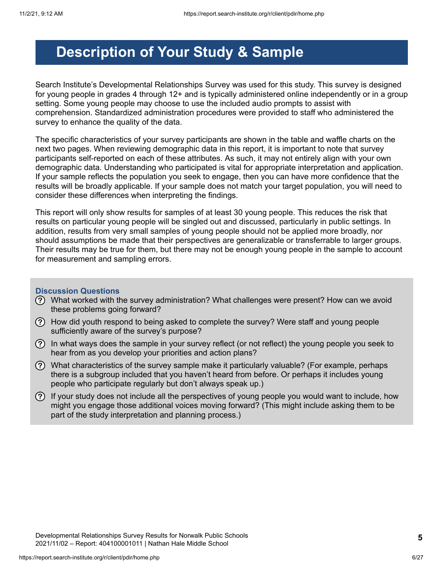## <span id="page-5-0"></span>**Description of Your Study & Sample**

Search Institute's Developmental Relationships Survey was used for this study. This survey is designed for young people in grades 4 through 12+ and is typically administered online independently or in a group setting. Some young people may choose to use the included audio prompts to assist with comprehension. Standardized administration procedures were provided to staff who administered the survey to enhance the quality of the data.

The specific characteristics of your survey participants are shown in the table and waffle charts on the next two pages. When reviewing demographic data in this report, it is important to note that survey participants self-reported on each of these attributes. As such, it may not entirely align with your own demographic data. Understanding who participated is vital for appropriate interpretation and application. If your sample reflects the population you seek to engage, then you can have more confidence that the results will be broadly applicable. If your sample does not match your target population, you will need to consider these differences when interpreting the findings.

This report will only show results for samples of at least 30 young people. This reduces the risk that results on particular young people will be singled out and discussed, particularly in public settings. In addition, results from very small samples of young people should not be applied more broadly, nor should assumptions be made that their perspectives are generalizable or transferrable to larger groups. Their results may be true for them, but there may not be enough young people in the sample to account for measurement and sampling errors.

#### **Discussion Questions**

- What worked with the survey administration? What challenges were present? How can we avoid these problems going forward?
- How did youth respond to being asked to complete the survey? Were staff and young people sufficiently aware of the survey's purpose?
- $\Omega$  In what ways does the sample in your survey reflect (or not reflect) the young people you seek to hear from as you develop your priorities and action plans?
- $\Omega$  What characteristics of the survey sample make it particularly valuable? (For example, perhaps there is a subgroup included that you haven't heard from before. Or perhaps it includes young people who participate regularly but don't always speak up.)
- $(?)$  If your study does not include all the perspectives of young people you would want to include, how might you engage those additional voices moving forward? (This might include asking them to be part of the study interpretation and planning process.)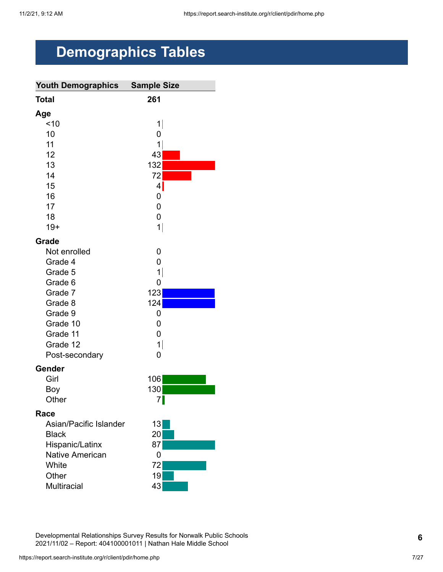# <span id="page-6-0"></span>**Demographics Tables**

| <b>Youth Demographics</b> | <b>Sample Size</b> |
|---------------------------|--------------------|
| <b>Total</b>              | 261                |
| Age                       |                    |
| ~10                       | 1                  |
| 10                        | 0                  |
| 11                        | 1                  |
| 12                        | 43                 |
| 13                        | 132                |
| 14                        | 72                 |
| 15                        | $4\vert$           |
| 16                        | 0                  |
| 17                        | 0                  |
| 18                        | $\overline{0}$     |
| $19+$                     | 1                  |
| Grade                     |                    |
| Not enrolled              | 0                  |
| Grade 4                   | 0                  |
| Grade 5                   | $\mathbf{1}$       |
| Grade 6                   | 0                  |
| Grade 7                   | 123                |
| Grade 8                   | 124                |
| Grade 9                   | 0                  |
| Grade 10                  | 0                  |
| Grade 11                  | 0                  |
| Grade 12                  | 1                  |
| Post-secondary            | 0                  |
| Gender                    |                    |
| Girl                      | 106                |
| Boy                       | 130                |
| Other                     | 7                  |
| Race                      |                    |
| Asian/Pacific Islander    | 13                 |
| <b>Black</b>              | 20                 |
| Hispanic/Latinx           | 87                 |
| <b>Native American</b>    | 0                  |
| White                     | 72                 |
| Other                     | 19                 |
| <b>Multiracial</b>        | 43                 |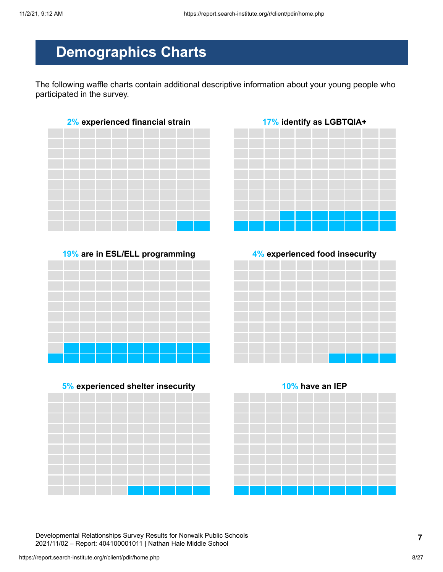## **Demographics Charts**

The following waffle charts contain additional descriptive information about your young people who participated in the survey.











Developmental Relationships Survey Results for Norwalk Public Schools 2021/11/02 – Report: 404100001011 | Nathan Hale Middle School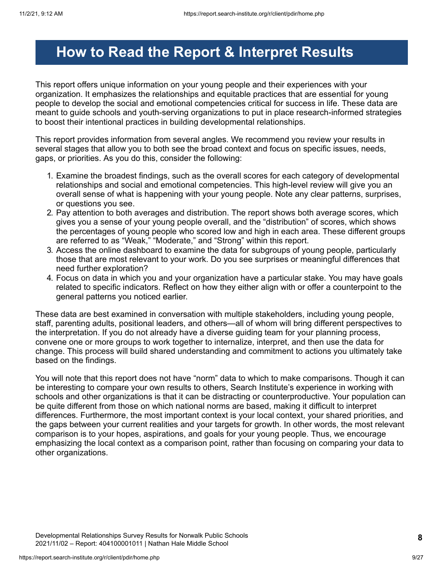## <span id="page-8-0"></span>**How to Read the Report & Interpret Results**

This report offers unique information on your young people and their experiences with your organization. It emphasizes the relationships and equitable practices that are essential for young people to develop the social and emotional competencies critical for success in life. These data are meant to guide schools and youth-serving organizations to put in place research-informed strategies to boost their intentional practices in building developmental relationships.

This report provides information from several angles. We recommend you review your results in several stages that allow you to both see the broad context and focus on specific issues, needs, gaps, or priorities. As you do this, consider the following:

- 1. Examine the broadest findings, such as the overall scores for each category of developmental relationships and social and emotional competencies. This high-level review will give you an overall sense of what is happening with your young people. Note any clear patterns, surprises, or questions you see.
- 2. Pay attention to both averages and distribution. The report shows both average scores, which gives you a sense of your young people overall, and the "distribution" of scores, which shows the percentages of young people who scored low and high in each area. These different groups are referred to as "Weak," "Moderate," and "Strong" within this report.
- 3. Access the online dashboard to examine the data for subgroups of young people, particularly those that are most relevant to your work. Do you see surprises or meaningful differences that need further exploration?
- 4. Focus on data in which you and your organization have a particular stake. You may have goals related to specific indicators. Reflect on how they either align with or offer a counterpoint to the general patterns you noticed earlier.

These data are best examined in conversation with multiple stakeholders, including young people, staff, parenting adults, positional leaders, and others—all of whom will bring different perspectives to the interpretation. If you do not already have a diverse guiding team for your planning process, convene one or more groups to work together to internalize, interpret, and then use the data for change. This process will build shared understanding and commitment to actions you ultimately take based on the findings.

You will note that this report does not have "norm" data to which to make comparisons. Though it can be interesting to compare your own results to others, Search Institute's experience in working with schools and other organizations is that it can be distracting or counterproductive. Your population can be quite different from those on which national norms are based, making it difficult to interpret differences. Furthermore, the most important context is your local context, your shared priorities, and the gaps between your current realities and your targets for growth. In other words, the most relevant comparison is to your hopes, aspirations, and goals for your young people. Thus, we encourage emphasizing the local context as a comparison point, rather than focusing on comparing your data to other organizations.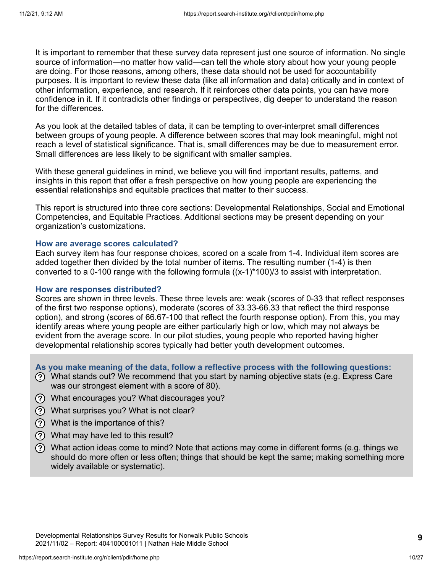It is important to remember that these survey data represent just one source of information. No single source of information—no matter how valid—can tell the whole story about how your young people are doing. For those reasons, among others, these data should not be used for accountability purposes. It is important to review these data (like all information and data) critically and in context of other information, experience, and research. If it reinforces other data points, you can have more confidence in it. If it contradicts other findings or perspectives, dig deeper to understand the reason for the differences.

As you look at the detailed tables of data, it can be tempting to over-interpret small differences between groups of young people. A difference between scores that may look meaningful, might not reach a level of statistical significance. That is, small differences may be due to measurement error. Small differences are less likely to be significant with smaller samples.

With these general guidelines in mind, we believe you will find important results, patterns, and insights in this report that offer a fresh perspective on how young people are experiencing the essential relationships and equitable practices that matter to their success.

This report is structured into three core sections: Developmental Relationships, Social and Emotional Competencies, and Equitable Practices. Additional sections may be present depending on your organization's customizations.

#### **How are average scores calculated?**

Each survey item has four response choices, scored on a scale from 1-4. Individual item scores are added together then divided by the total number of items. The resulting number (1-4) is then converted to a 0-100 range with the following formula  $((x-1)^*100)/3$  to assist with interpretation.

#### **How are responses distributed?**

Scores are shown in three levels. These three levels are: weak (scores of 0-33 that reflect responses of the first two response options), moderate (scores of 33.33-66.33 that reflect the third response option), and strong (scores of 66.67-100 that reflect the fourth response option). From this, you may identify areas where young people are either particularly high or low, which may not always be evident from the average score. In our pilot studies, young people who reported having higher developmental relationship scores typically had better youth development outcomes.

**As you make meaning of the data, follow a reflective process with the following questions:**

- What stands out? We recommend that you start by naming objective stats (e.g. Express Care was our strongest element with a score of 80).
- What encourages you? What discourages you?
- What surprises you? What is not clear?
- What is the importance of this?
- What may have led to this result?
- What action ideas come to mind? Note that actions may come in different forms (e.g. things we should do more often or less often; things that should be kept the same; making something more widely available or systematic).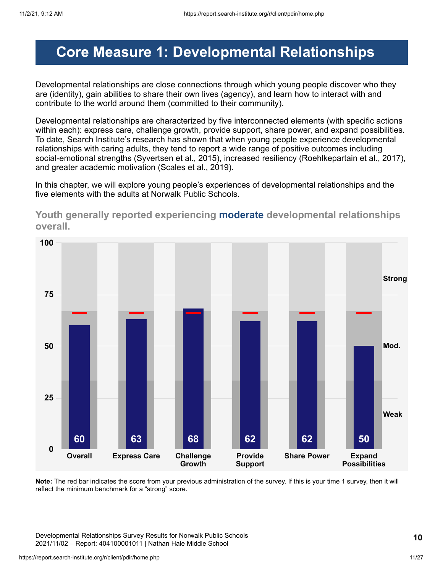## <span id="page-10-0"></span>**Core Measure 1: Developmental Relationships**

Developmental relationships are close connections through which young people discover who they are (identity), gain abilities to share their own lives (agency), and learn how to interact with and contribute to the world around them (committed to their community).

Developmental relationships are characterized by five interconnected elements (with specific actions within each): express care, challenge growth, provide support, share power, and expand possibilities. To date, Search Institute's research has shown that when young people experience developmental relationships with caring adults, they tend to report a wide range of positive outcomes including social-emotional strengths (Syvertsen et al., 2015), increased resiliency (Roehlkepartain et al., 2017), and greater academic motivation (Scales et al., 2019).

In this chapter, we will explore young people's experiences of developmental relationships and the five elements with the adults at Norwalk Public Schools.



**Youth generally reported experiencing moderate developmental relationships overall.**

**Note:** The red bar indicates the score from your previous administration of the survey. If this is your time 1 survey, then it will reflect the minimum benchmark for a "strong" score.

Developmental Relationships Survey Results for Norwalk Public Schools 2021/11/02 – Report: 404100001011 | Nathan Hale Middle School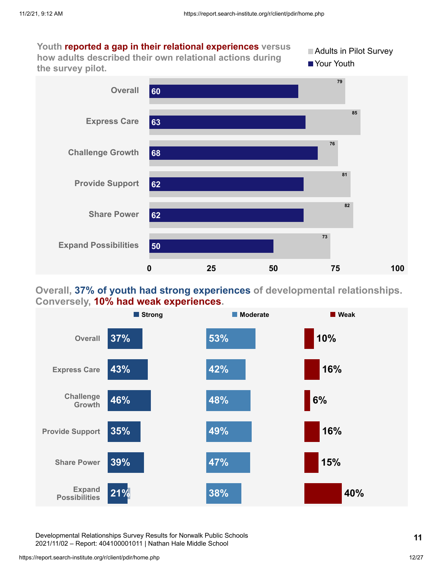**Youth reported a gap in their relational experiences versus how adults described their own relational actions during the survey pilot.** Adults in Pilot Survey **Your Youth Overall 79 85 60**



### **Overall, 37% of youth had strong experiences of developmental relationships. Conversely, 10% had weak experiences.**



Developmental Relationships Survey Results for Norwalk Public Schools 2021/11/02 – Report: 404100001011 | Nathan Hale Middle School

https://report.search-institute.org/r/client/pdir/home.php 12/27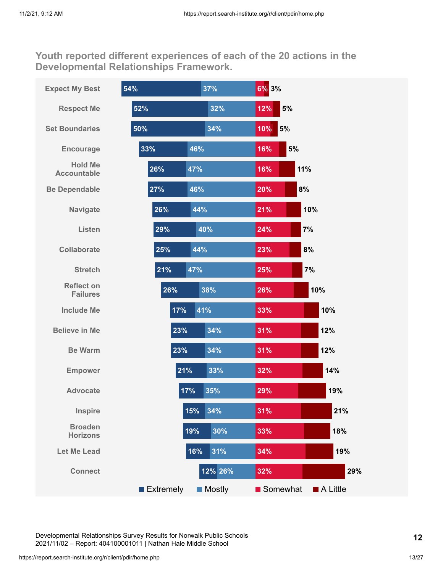**Youth reported different experiences of each of the 20 actions in the Developmental Relationships Framework.**

| <b>Expect My Best</b>                | 54%              | 37%           | 6% 3%             |                         |  |
|--------------------------------------|------------------|---------------|-------------------|-------------------------|--|
| <b>Respect Me</b>                    | 52%              | 32%           | 5%<br>12%         |                         |  |
| <b>Set Boundaries</b>                | 50%              | 34%           | 5%<br>10%         |                         |  |
| <b>Encourage</b>                     | 33%<br>46%       |               | 16%               | 5%                      |  |
| <b>Hold Me</b><br><b>Accountable</b> | 26%<br>47%       |               | 16%               | 11%                     |  |
| <b>Be Dependable</b>                 | 27%<br>46%       |               | 20%               | 8%                      |  |
| <b>Navigate</b>                      | 26%              | 44%           | 21%               | 10%                     |  |
| Listen                               | 29%              | 40%           | 24%               | 7%                      |  |
| <b>Collaborate</b>                   | 25%              | 44%           | 23%               | 8%                      |  |
| <b>Stretch</b>                       | 21%<br>47%       |               | 25%               | 7%                      |  |
| <b>Reflect on</b><br><b>Failures</b> | 26%              | 38%           | 26%               | 10%                     |  |
| <b>Include Me</b>                    | 17%              | 41%           | 33%               | 10%                     |  |
| <b>Believe in Me</b>                 | 23%              | 34%           | 31%               | 12%                     |  |
| <b>Be Warm</b>                       | 23%              | 34%           | 31%               | 12%                     |  |
| <b>Empower</b>                       | 21%              | 33%           | 32%               | 14%                     |  |
| <b>Advocate</b>                      | 17%              | 35%           | 29%               | 19%                     |  |
| Inspire                              | 15%              | 34%           | 31%               | 21%                     |  |
| <b>Broaden</b><br><b>Horizons</b>    | 19%              | 30%           | 33%               | 18%                     |  |
| <b>Let Me Lead</b>                   | 16%              | 31%           | 34%               | 19%                     |  |
| <b>Connect</b>                       |                  | 12% 26%       | 32%               | 29%                     |  |
|                                      | <b>Extremely</b> | <b>Mostly</b> | <b>■</b> Somewhat | $\blacksquare$ A Little |  |

Developmental Relationships Survey Results for Norwalk Public Schools 2021/11/02 – Report: 404100001011 | Nathan Hale Middle School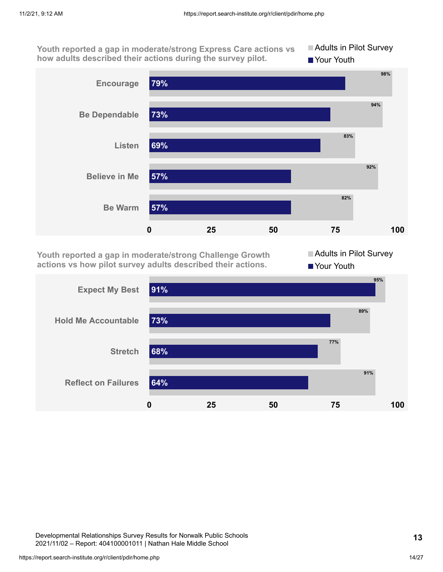**Youth reported a gap in moderate/strong Express Care actions vs how adults described their actions during the survey pilot.**





**Youth reported a gap in moderate/strong Challenge Growth actions vs how pilot survey adults described their actions.**

Adults in Pilot Survey Your Youth



Developmental Relationships Survey Results for Norwalk Public Schools 2021/11/02 – Report: 404100001011 | Nathan Hale Middle School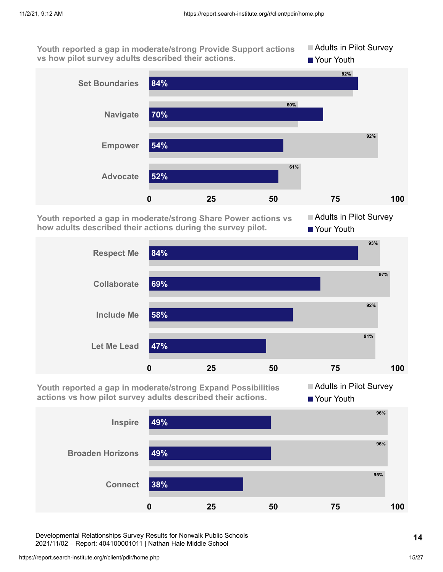**Youth reported a gap in moderate/strong Provide Support actions vs how pilot survey adults described their actions. Adults in Pilot Survey Your Youth** 



**Youth reported a gap in moderate/strong Share Power actions vs how adults described their actions during the survey pilot.**

**Adults in Pilot Survey** ■ Your Youth



**Youth reported a gap in moderate/strong Expand Possibilities actions vs how pilot survey adults described their actions.**

**Adults in Pilot Survey Your Youth** 



Developmental Relationships Survey Results for Norwalk Public Schools 2021/11/02 – Report: 404100001011 | Nathan Hale Middle School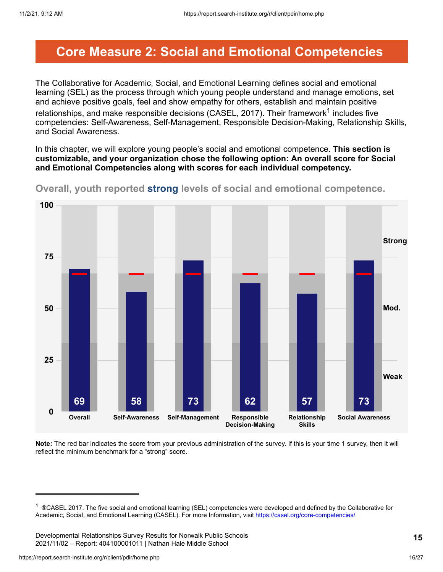### <span id="page-15-0"></span>**Core Measure 2: Social and Emotional Competencies**

The Collaborative for Academic, Social, and Emotional Learning defines social and emotional learning (SEL) as the process through which young people understand and manage emotions, set and achieve positive goals, feel and show empathy for others, establish and maintain positive relationships, and make responsible decisions (CASEL, 2017). Their framework $^{\text{1}}$  includes five competencies: Self-Awareness, Self-Management, Responsible Decision-Making, Relationship Skills, and Social Awareness.

In this chapter, we will explore young people's social and emotional competence. **This section is customizable, and your organization chose the following option: An overall score for Social and Emotional Competencies along with scores for each individual competency.**



**Overall, youth reported strong levels of social and emotional competence.**

**Note:** The red bar indicates the score from your previous administration of the survey. If this is your time 1 survey, then it will reflect the minimum benchmark for a "strong" score.

<sup>&</sup>lt;sup>1</sup> ®CASEL 2017. The five social and emotional learning (SEL) competencies were developed and defined by the Collaborative for Academic, Social, and Emotional Learning (CASEL). For more Information, visit <https://casel.org/core-competencies/>

Developmental Relationships Survey Results for Norwalk Public Schools 2021/11/02 – Report: 404100001011 | Nathan Hale Middle School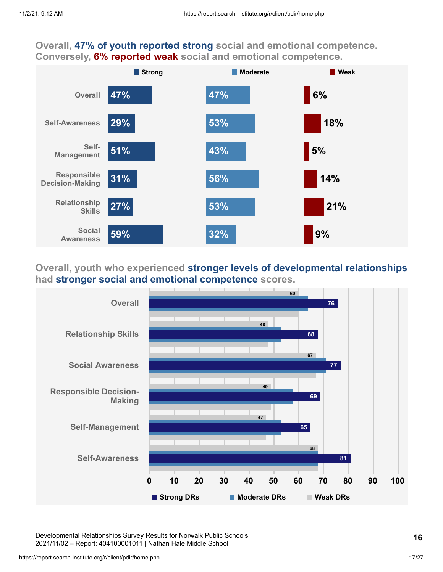### **Overall, 47% of youth reported strong social and emotional competence. Conversely, 6% reported weak social and emotional competence.**



### **Overall, youth who experienced stronger levels of developmental relationships had stronger social and emotional competence scores.**



Developmental Relationships Survey Results for Norwalk Public Schools 2021/11/02 – Report: 404100001011 | Nathan Hale Middle School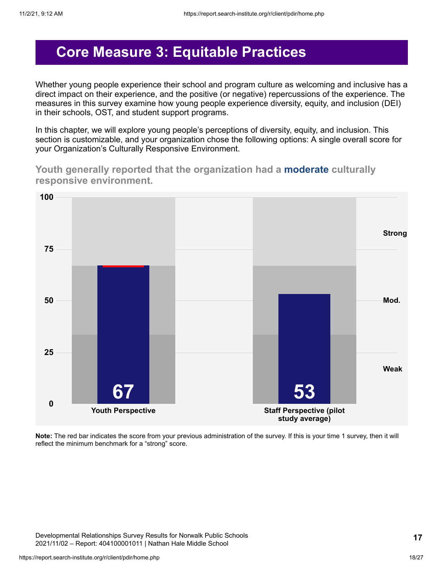### <span id="page-17-0"></span>**Core Measure 3: Equitable Practices**

Whether young people experience their school and program culture as welcoming and inclusive has a direct impact on their experience, and the positive (or negative) repercussions of the experience. The measures in this survey examine how young people experience diversity, equity, and inclusion (DEI) in their schools, OST, and student support programs.

In this chapter, we will explore young people's perceptions of diversity, equity, and inclusion. This section is customizable, and your organization chose the following options: A single overall score for your Organization's Culturally Responsive Environment.

**Youth generally reported that the organization had a moderate culturally responsive environment.**



**Note:** The red bar indicates the score from your previous administration of the survey. If this is your time 1 survey, then it will reflect the minimum benchmark for a "strong" score.

Developmental Relationships Survey Results for Norwalk Public Schools 2021/11/02 – Report: 404100001011 | Nathan Hale Middle School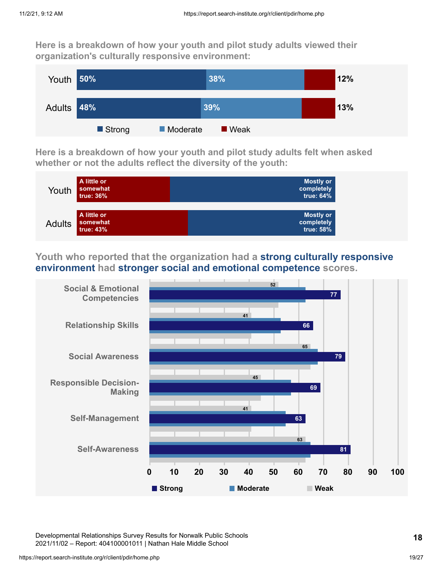**Here is a breakdown of how your youth and pilot study adults viewed their organization's culturally responsive environment:**



**Here is a breakdown of how your youth and pilot study adults felt when asked whether or not the adults reflect the diversity of the youth:**



**Youth who reported that the organization had a strong culturally responsive environment had stronger social and emotional competence scores.**



Developmental Relationships Survey Results for Norwalk Public Schools 2021/11/02 – Report: 404100001011 | Nathan Hale Middle School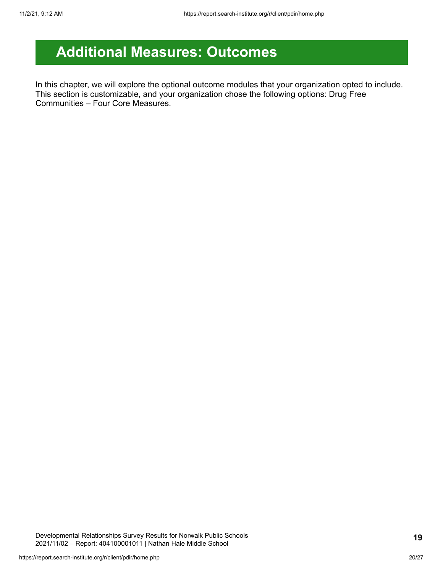## <span id="page-19-0"></span>**Additional Measures: Outcomes**

In this chapter, we will explore the optional outcome modules that your organization opted to include. This section is customizable, and your organization chose the following options: Drug Free Communities – Four Core Measures.

Developmental Relationships Survey Results for Norwalk Public Schools 2021/11/02 – Report: 404100001011 | Nathan Hale Middle School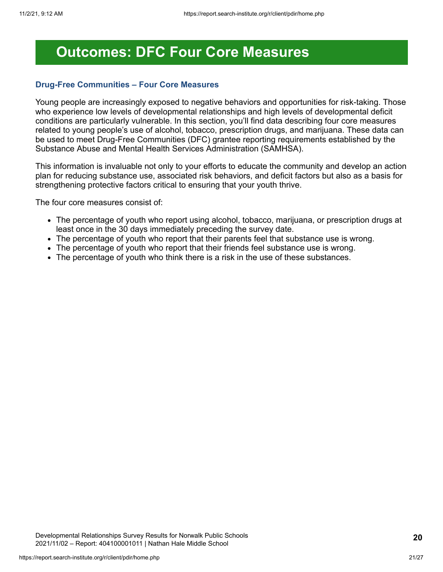### <span id="page-20-0"></span>**Outcomes: DFC Four Core Measures**

#### **Drug-Free Communities – Four Core Measures**

Young people are increasingly exposed to negative behaviors and opportunities for risk-taking. Those who experience low levels of developmental relationships and high levels of developmental deficit conditions are particularly vulnerable. In this section, you'll find data describing four core measures related to young people's use of alcohol, tobacco, prescription drugs, and marijuana. These data can be used to meet Drug-Free Communities (DFC) grantee reporting requirements established by the Substance Abuse and Mental Health Services Administration (SAMHSA).

This information is invaluable not only to your efforts to educate the community and develop an action plan for reducing substance use, associated risk behaviors, and deficit factors but also as a basis for strengthening protective factors critical to ensuring that your youth thrive.

The four core measures consist of:

- The percentage of youth who report using alcohol, tobacco, marijuana, or prescription drugs at least once in the 30 days immediately preceding the survey date.
- The percentage of youth who report that their parents feel that substance use is wrong.
- The percentage of youth who report that their friends feel substance use is wrong.
- The percentage of youth who think there is a risk in the use of these substances.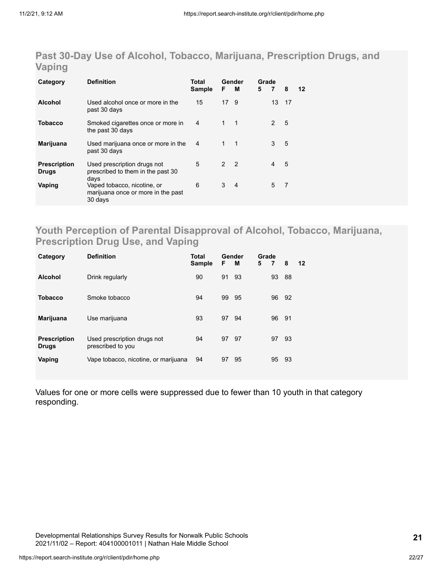### **Past 30-Day Use of Alcohol, Tobacco, Marijuana, Prescription Drugs, and Vaping**

| Category                            | <b>Definition</b>                                                                    | Total<br><b>Sample</b> | F              | Gender<br>м      | Grade<br>5 | $\overline{7}$ | 8  | 12 |
|-------------------------------------|--------------------------------------------------------------------------------------|------------------------|----------------|------------------|------------|----------------|----|----|
| <b>Alcohol</b>                      | Used alcohol once or more in the<br>past 30 days                                     | 15                     | 17             | -9               |            | 13             | 17 |    |
| Tobacco                             | Smoked cigarettes once or more in<br>the past 30 days                                | 4                      | $1 \quad 1$    |                  |            | 2              | 5  |    |
| <b>Marijuana</b>                    | Used marijuana once or more in the<br>past 30 days                                   | $\overline{4}$         | $\mathbf{1}$   | $\blacksquare$ 1 |            | 3              | 5  |    |
| <b>Prescription</b><br><b>Drugs</b> | Used prescription drugs not<br>prescribed to them in the past 30                     | 5                      | 2 <sub>2</sub> |                  |            | 4              | 5  |    |
| Vaping                              | days<br>Vaped tobacco, nicotine, or<br>marijuana once or more in the past<br>30 days | 6                      | 3              | $\overline{4}$   |            | 5              | 7  |    |

### **Youth Perception of Parental Disapproval of Alcohol, Tobacco, Marijuana, Prescription Drug Use, and Vaping**

| Category                            | <b>Definition</b>                                | Total<br><b>Sample</b> | F  | Gender<br>м | Grade<br>5 | 7  | 8  | $12 \,$ |
|-------------------------------------|--------------------------------------------------|------------------------|----|-------------|------------|----|----|---------|
| <b>Alcohol</b>                      | Drink regularly                                  | 90                     | 91 | -93         |            | 93 | 88 |         |
| <b>Tobacco</b>                      | Smoke tobacco                                    | 94                     | 99 | - 95        |            | 96 | 92 |         |
| Marijuana                           | Use marijuana                                    | 93                     | 97 | 94          |            | 96 | 91 |         |
| <b>Prescription</b><br><b>Drugs</b> | Used prescription drugs not<br>prescribed to you | 94                     | 97 | - 97        |            | 97 | 93 |         |
| Vaping                              | Vape tobacco, nicotine, or marijuana             | 94                     | 97 | 95          |            | 95 | 93 |         |

Values for one or more cells were suppressed due to fewer than 10 youth in that category responding.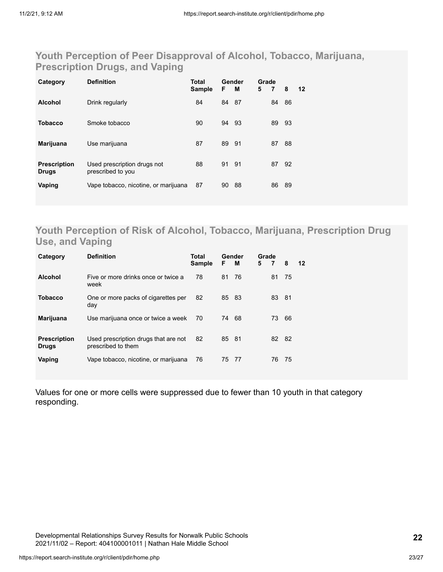### **Youth Perception of Peer Disapproval of Alcohol, Tobacco, Marijuana, Prescription Drugs, and Vaping**

| Category                            | <b>Definition</b>                                | <b>Total</b><br><b>Sample</b> | F.    | Gender<br>M | Grade<br>5 | 7  | 8  | $12 \,$ |
|-------------------------------------|--------------------------------------------------|-------------------------------|-------|-------------|------------|----|----|---------|
| <b>Alcohol</b>                      | Drink regularly                                  | 84                            | 84    | - 87        |            | 84 | 86 |         |
| <b>Tobacco</b>                      | Smoke tobacco                                    | 90                            | 94    | -93         |            | 89 | 93 |         |
| Marijuana                           | Use marijuana                                    | 87                            | 89 91 |             |            | 87 | 88 |         |
| <b>Prescription</b><br><b>Drugs</b> | Used prescription drugs not<br>prescribed to you | 88                            | 91 91 |             |            | 87 | 92 |         |
| Vaping                              | Vape tobacco, nicotine, or marijuana             | 87                            | 90    | 88          |            | 86 | 89 |         |

### **Youth Perception of Risk of Alcohol, Tobacco, Marijuana, Prescription Drug Use, and Vaping**

| Category                            | <b>Definition</b>                                          | Total<br><b>Sample</b> | F     | Gender<br>м | Grade<br>5 | $-7$  | 8   | 12 |
|-------------------------------------|------------------------------------------------------------|------------------------|-------|-------------|------------|-------|-----|----|
| <b>Alcohol</b>                      | Five or more drinks once or twice a<br>week                | 78                     | 81 76 |             |            | 81    | 75  |    |
| <b>Tobacco</b>                      | One or more packs of cigarettes per<br>day                 | 82                     | 85 83 |             |            | 83 81 |     |    |
| <b>Marijuana</b>                    | Use marijuana once or twice a week                         | 70                     | 74    | 68          |            | 73    | 66  |    |
| <b>Prescription</b><br><b>Drugs</b> | Used prescription drugs that are not<br>prescribed to them | 82                     | 85 81 |             |            | 82    | -82 |    |
| Vaping                              | Vape tobacco, nicotine, or marijuana                       | 76                     | 75    | -77         |            | 76    | 75  |    |

Values for one or more cells were suppressed due to fewer than 10 youth in that category responding.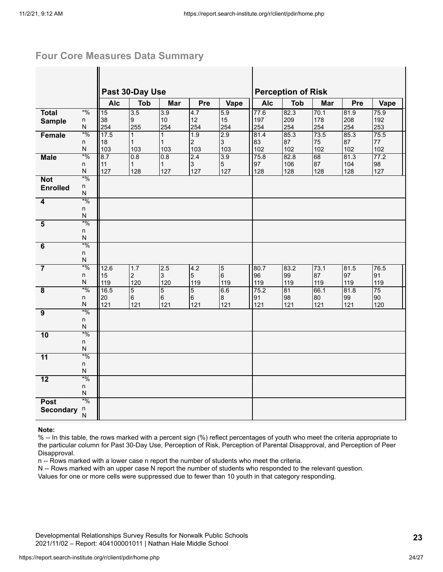#### **Four Core Measures Data Summary**

|                         |                              | Past 30-Day Use |                        |                       |                       |                 |             | <b>Perception of Risk</b> |             |             |            |
|-------------------------|------------------------------|-----------------|------------------------|-----------------------|-----------------------|-----------------|-------------|---------------------------|-------------|-------------|------------|
|                         |                              | <b>Alc</b>      | <b>Tob</b>             | Mar                   | Pre                   | Vape            | <b>Alc</b>  | <b>Tob</b>                | Mar         | Pre         | Vape       |
| <b>Total</b>            | $*$ %                        | 15              | 3.5                    | 3.9                   | 4.7                   | 5.9             | 77.6        | 82.3                      | 70.1        | 81.9        | 75.9       |
| <b>Sample</b>           | n<br>N                       | 38<br>254       | $\overline{9}$<br>255  | 10<br>254             | 12<br>254             | 15<br>254       | 197<br>254  | 209<br>254                | 178<br>254  | 208<br>254  | 192<br>253 |
| Female                  | $*0/0$                       | 17.5            | $\mathbf{1}$           | $\mathbf{1}$          | 1.9                   | 2.9             | 81.4        | 85.3                      | 73.5        | 85.3        | 75.5       |
|                         | n                            | 18              | $\mathbf{1}$           | $\mathbf{1}$          | $\overline{2}$        | 3               | 83          | 87                        | 75          | 87          | 77         |
|                         | N                            | 103             | 103                    | 103                   | 103                   | 103             | 102         | 102                       | 102         | 102         | 102        |
| <b>Male</b>             | $*9/0$                       | 8.7             | 0.8                    | 0.8                   | 2.4                   | 3.9             | 75.8        | 82.8                      | 68          | 81.3        | 77.2       |
|                         | n<br>N                       | 11<br>127       | $\mathbf{1}$<br>128    | $\mathbf{1}$<br>127   | $\mathbf{3}$<br>127   | 5<br>127        | 97<br>128   | 106<br>128                | 87<br>128   | 104<br>128  | 98<br>127  |
| <b>Not</b>              | $*9/0$                       |                 |                        |                       |                       |                 |             |                           |             |             |            |
| <b>Enrolled</b>         | n                            |                 |                        |                       |                       |                 |             |                           |             |             |            |
|                         | N                            |                 |                        |                       |                       |                 |             |                           |             |             |            |
| 4                       | $*0/0$<br>n                  |                 |                        |                       |                       |                 |             |                           |             |             |            |
|                         | $\mathsf{N}$                 |                 |                        |                       |                       |                 |             |                           |             |             |            |
| $\overline{\mathbf{5}}$ | $*9/0$                       |                 |                        |                       |                       |                 |             |                           |             |             |            |
|                         | n                            |                 |                        |                       |                       |                 |             |                           |             |             |            |
|                         | N<br>$*9/0$                  |                 |                        |                       |                       |                 |             |                           |             |             |            |
| $\overline{6}$          | n                            |                 |                        |                       |                       |                 |             |                           |             |             |            |
|                         | $\mathsf{N}$                 |                 |                        |                       |                       |                 |             |                           |             |             |            |
| $\overline{7}$          | $*0/0$                       | 12.6            | 1.7                    | 2.5                   | 4.2                   | $\overline{5}$  | 80.7        | 83.2                      | 73.1        | 81.5        | 76.5       |
|                         | n                            | 15              | $\overline{2}$         | 3                     | 5                     | $6\overline{6}$ | 96          | 99                        | 87          | 97          | 91         |
| $\overline{\mathbf{8}}$ | ${\sf N}$<br>$*9/0$          | 119<br>16.5     | 120<br>$5\overline{)}$ | 120<br>$\overline{5}$ | 119<br>$\overline{5}$ | 119<br>6.6      | 119<br>75.2 | 119<br>81                 | 119<br>66.1 | 119<br>81.8 | 119<br>75  |
|                         | n                            | 20              | $6\phantom{.}6$        | $6\phantom{.}6$       | $6\phantom{a}$        | $\bf{8}$        | 91          | 98                        | 80          | 99          | 90         |
|                         | $\mathsf{N}$                 | 121             | 121                    | 121                   | $121$                 | 121             | $121$       | 121                       | 121         | 121         | 120        |
| $\overline{9}$          | $*9/0$                       |                 |                        |                       |                       |                 |             |                           |             |             |            |
|                         | n<br>$\overline{\mathsf{N}}$ |                 |                        |                       |                       |                 |             |                           |             |             |            |
| 10                      | $*0/0$                       |                 |                        |                       |                       |                 |             |                           |             |             |            |
|                         | n                            |                 |                        |                       |                       |                 |             |                           |             |             |            |
|                         | ${\sf N}$                    |                 |                        |                       |                       |                 |             |                           |             |             |            |
| 11                      | $*0/0$                       |                 |                        |                       |                       |                 |             |                           |             |             |            |
|                         | n<br>${\sf N}$               |                 |                        |                       |                       |                 |             |                           |             |             |            |
| $\overline{12}$         | $*9/0$                       |                 |                        |                       |                       |                 |             |                           |             |             |            |
|                         | n                            |                 |                        |                       |                       |                 |             |                           |             |             |            |
|                         | N                            |                 |                        |                       |                       |                 |             |                           |             |             |            |
| <b>Post</b>             | $*9/0$<br>n                  |                 |                        |                       |                       |                 |             |                           |             |             |            |
| <b>Secondary</b>        | N                            |                 |                        |                       |                       |                 |             |                           |             |             |            |
|                         |                              |                 |                        |                       |                       |                 |             |                           |             |             |            |

#### **Note:**

% -- In this table, the rows marked with a percent sign (%) reflect percentages of youth who meet the criteria appropriate to the particular column for Past 30-Day Use, Perception of Risk, Perception of Parental Disapproval, and Perception of Peer Disapproval.

n -- Rows marked with a lower case n report the number of students who meet the criteria.

N -- Rows marked with an upper case N report the number of students who responded to the relevant question.

Values for one or more cells were suppressed due to fewer than 10 youth in that category responding.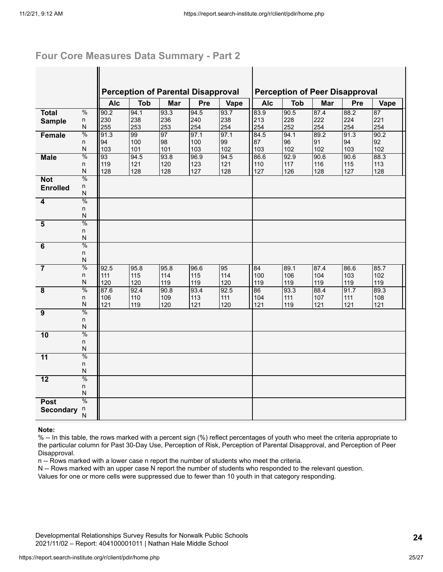#### **Four Core Measures Data Summary - Part 2**

 $\mathbf{I}$ 

|                         |                         |            | <b>Perception of Parental Disapproval</b> |      |      |      |            |            | <b>Perception of Peer Disapproval</b> |      |      |
|-------------------------|-------------------------|------------|-------------------------------------------|------|------|------|------------|------------|---------------------------------------|------|------|
|                         |                         | <b>Alc</b> | <b>Tob</b>                                | Mar  | Pre  | Vape | <b>Alc</b> | <b>Tob</b> | Mar                                   | Pre  | Vape |
| <b>Total</b>            | $\frac{0}{0}$           | 90.2       | 94.1                                      | 93.3 | 94.5 | 93.7 | 83.9       | 90.5       | 87.4                                  | 88.2 | 87   |
| <b>Sample</b>           | n                       | 230        | 238                                       | 236  | 240  | 238  | 213        | 228        | 222                                   | 224  | 221  |
|                         | N                       | 255        | 253                                       | 253  | 254  | 254  | 254        | 252        | 254                                   | 254  | 254  |
| Female                  | $\frac{0}{0}$           | 91.3       | 99                                        | 97   | 97.1 | 97.1 | 84.5       | 94.1       | 89.2                                  | 91.3 | 90.2 |
|                         | n                       | 94         | 100                                       | 98   | 100  | 99   | 87         | 96         | 91                                    | 94   | 92   |
|                         | N                       | 103        | 101                                       | 101  | 103  | 102  | 103        | 102        | 102                                   | 103  | 102  |
| <b>Male</b>             | $\frac{0}{0}$           | 93         | 94.5                                      | 93.8 | 96.9 | 94.5 | 86.6       | 92.9       | 90.6                                  | 90.6 | 88.3 |
|                         | n<br>$\mathsf{N}$       | 119        | 121                                       | 120  | 123  | 121  | 110        | 117        | 116                                   | 115  | 113  |
|                         | $\frac{0}{0}$           | 128        | 128                                       | 128  | 127  | 128  | 127        | 126        | 128                                   | 127  | 128  |
| <b>Not</b>              |                         |            |                                           |      |      |      |            |            |                                       |      |      |
| <b>Enrolled</b>         | n<br>N                  |            |                                           |      |      |      |            |            |                                       |      |      |
| 4                       | $\frac{0}{0}$           |            |                                           |      |      |      |            |            |                                       |      |      |
|                         | n                       |            |                                           |      |      |      |            |            |                                       |      |      |
|                         | N                       |            |                                           |      |      |      |            |            |                                       |      |      |
| $\overline{\mathbf{5}}$ | $\frac{0}{0}$           |            |                                           |      |      |      |            |            |                                       |      |      |
|                         | n                       |            |                                           |      |      |      |            |            |                                       |      |      |
|                         | ${\sf N}$               |            |                                           |      |      |      |            |            |                                       |      |      |
| $\overline{6}$          | $\frac{0}{0}$           |            |                                           |      |      |      |            |            |                                       |      |      |
|                         | n                       |            |                                           |      |      |      |            |            |                                       |      |      |
|                         | ${\sf N}$               |            |                                           |      |      |      |            |            |                                       |      |      |
| $\overline{7}$          | $\frac{0}{0}$           | 92.5       | 95.8                                      | 95.8 | 96.6 | 95   | 84         | 89.1       | 87.4                                  | 86.6 | 85.7 |
|                         | n                       | 111        | 115                                       | 114  | 115  | 114  | 100        | 106        | 104                                   | 103  | 102  |
|                         | $\mathsf{N}$            | 120        | 120                                       | 119  | 119  | 120  | 119        | 119        | 119                                   | 119  | 119  |
| $\overline{\mathbf{8}}$ | $\frac{0}{0}$           | 87.6       | 92.4                                      | 90.8 | 93.4 | 92.5 | 86         | 93.3       | 88.4                                  | 91.7 | 89.3 |
|                         | n                       | 106        | 110                                       | 109  | 113  | 111  | 104        | 111        | 107                                   | 111  | 108  |
|                         | $\mathsf{N}$            | 121        | 119                                       | 120  | 121  | 120  | 121        | 119        | 121                                   | 121  | 121  |
| 9                       | $\frac{0}{0}$           |            |                                           |      |      |      |            |            |                                       |      |      |
|                         | n                       |            |                                           |      |      |      |            |            |                                       |      |      |
|                         | $\overline{\mathsf{N}}$ |            |                                           |      |      |      |            |            |                                       |      |      |
| 10                      | $\frac{0}{0}$           |            |                                           |      |      |      |            |            |                                       |      |      |
|                         | $\mathsf{n}$            |            |                                           |      |      |      |            |            |                                       |      |      |
|                         | $\mathsf{N}$            |            |                                           |      |      |      |            |            |                                       |      |      |
| $\overline{11}$         | $\frac{0}{0}$           |            |                                           |      |      |      |            |            |                                       |      |      |
|                         | $\mathsf{n}$            |            |                                           |      |      |      |            |            |                                       |      |      |
|                         | $\mathsf{N}$            |            |                                           |      |      |      |            |            |                                       |      |      |
| $\overline{12}$         | $\frac{0}{0}$           |            |                                           |      |      |      |            |            |                                       |      |      |
|                         | n<br>N                  |            |                                           |      |      |      |            |            |                                       |      |      |
|                         | $\frac{0}{0}$           |            |                                           |      |      |      |            |            |                                       |      |      |
| <b>Post</b>             |                         |            |                                           |      |      |      |            |            |                                       |      |      |
| <b>Secondary</b>        | n<br>N                  |            |                                           |      |      |      |            |            |                                       |      |      |
|                         |                         |            |                                           |      |      |      |            |            |                                       |      |      |

#### **Note:**

% -- In this table, the rows marked with a percent sign (%) reflect percentages of youth who meet the criteria appropriate to the particular column for Past 30-Day Use, Perception of Risk, Perception of Parental Disapproval, and Perception of Peer Disapproval.

n -- Rows marked with a lower case n report the number of students who meet the criteria.

N -- Rows marked with an upper case N report the number of students who responded to the relevant question.

Values for one or more cells were suppressed due to fewer than 10 youth in that category responding.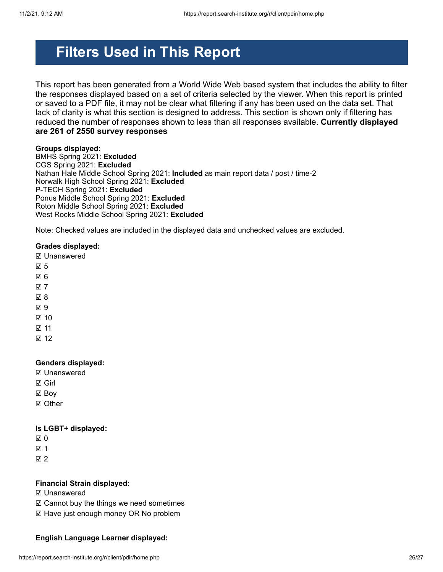## **Filters Used in This Report**

This report has been generated from a World Wide Web based system that includes the ability to filter the responses displayed based on a set of criteria selected by the viewer. When this report is printed or saved to a PDF file, it may not be clear what filtering if any has been used on the data set. That lack of clarity is what this section is designed to address. This section is shown only if filtering has reduced the number of responses shown to less than all responses available. **Currently displayed are 261 of 2550 survey responses**

#### **Groups displayed:**

BMHS Spring 2021: **Excluded** CGS Spring 2021: **Excluded** Nathan Hale Middle School Spring 2021: **Included** as main report data / post / time-2 Norwalk High School Spring 2021: **Excluded** P-TECH Spring 2021: **Excluded** Ponus Middle School Spring 2021: **Excluded** Roton Middle School Spring 2021: **Excluded** West Rocks Middle School Spring 2021: **Excluded**

Note: Checked values are included in the displayed data and unchecked values are excluded.

#### **Grades displayed:**

☑ Unanswered

- ☑ 5
- ☑ 6
- ☑ 7
- ☑ 8
- ☑ 9
- ☑ 10
- ☑ 11
- 

☑ 12

#### **Genders displayed:**

- ☑ Unanswered
- ☑ Girl
- ☑ Boy
- ☑ Other

#### **Is LGBT+ displayed:**

- ☑ 0
- ☑ 1

☑ 2

#### **Financial Strain displayed:**

- ☑ Unanswered
- ☑ Cannot buy the things we need sometimes
- ☑ Have just enough money OR No problem

#### **English Language Learner displayed:**